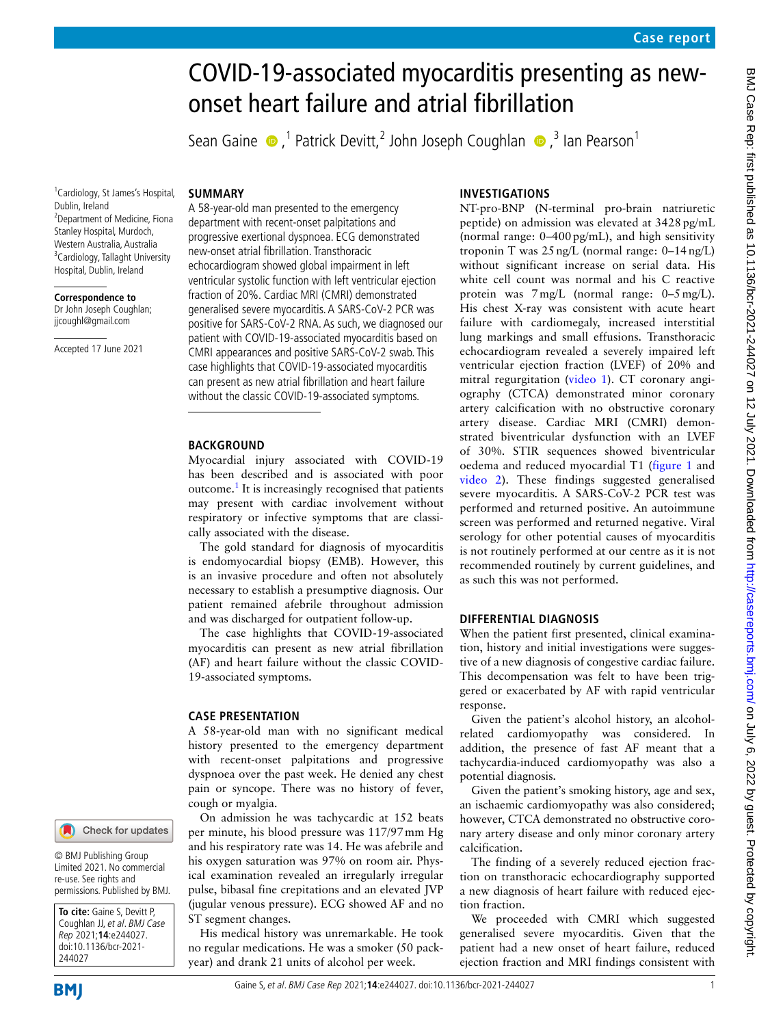# COVID-19-associated myocarditis presenting as newonset heart failure and atrial fibrillation

SeanGaine  $\bigcirc$ ,<sup>1</sup> Patrick Devitt,<sup>2</sup> John Joseph Coughlan  $\bigcirc$ ,<sup>3</sup> Ian Pearson<sup>1</sup>

1 Cardiology, St James's Hospital, Dublin, Ireland 2 Department of Medicine, Fiona Stanley Hospital, Murdoch, Western Australia, Australia <sup>3</sup> Cardiology, Tallaght University Hospital, Dublin, Ireland

**Correspondence to**

Dr John Joseph Coughlan; jjcoughl@gmail.com

Accepted 17 June 2021

#### **SUMMARY**

A 58-year-old man presented to the emergency department with recent-onset palpitations and progressive exertional dyspnoea. ECG demonstrated new-onset atrial fibrillation. Transthoracic echocardiogram showed global impairment in left ventricular systolic function with left ventricular ejection fraction of 20%. Cardiac MRI (CMRI) demonstrated generalised severe myocarditis. A SARS-CoV-2 PCR was positive for SARS-CoV-2 RNA. As such, we diagnosed our patient with COVID-19-associated myocarditis based on CMRI appearances and positive SARS-CoV-2 swab. This case highlights that COVID-19-associated myocarditis can present as new atrial fibrillation and heart failure without the classic COVID-19-associated symptoms.

#### **BACKGROUND**

Myocardial injury associated with COVID-19 has been described and is associated with poor outcome.<sup>[1](#page-2-0)</sup> It is increasingly recognised that patients may present with cardiac involvement without respiratory or infective symptoms that are classically associated with the disease.

The gold standard for diagnosis of myocarditis is endomyocardial biopsy (EMB). However, this is an invasive procedure and often not absolutely necessary to establish a presumptive diagnosis. Our patient remained afebrile throughout admission and was discharged for outpatient follow-up.

The case highlights that COVID-19-associated myocarditis can present as new atrial fibrillation (AF) and heart failure without the classic COVID-19-associated symptoms.

#### **CASE PRESENTATION**

A 58-year-old man with no significant medical history presented to the emergency department with recent-onset palpitations and progressive dyspnoea over the past week. He denied any chest pain or syncope. There was no history of fever, cough or myalgia.

On admission he was tachycardic at 152 beats per minute, his blood pressure was 117/97mm Hg and his respiratory rate was 14. He was afebrile and his oxygen saturation was 97% on room air. Physical examination revealed an irregularly irregular pulse, bibasal fine crepitations and an elevated JVP (jugular venous pressure). ECG showed AF and no ST segment changes.

His medical history was unremarkable. He took no regular medications. He was a smoker (50 packyear) and drank 21 units of alcohol per week.

## **INVESTIGATIONS**

NT-pro-BNP (N-terminal pro-brain natriuretic peptide) on admission was elevated at 3428pg/mL (normal range:  $0-400 \text{ pg/mL}$ ), and high sensitivity troponin T was 25ng/L (normal range: 0–14ng/L) without significant increase on serial data. His white cell count was normal and his C reactive protein was 7mg/L (normal range: 0–5mg/L). His chest X-ray was consistent with acute heart failure with cardiomegaly, increased interstitial lung markings and small effusions. Transthoracic echocardiogram revealed a severely impaired left ventricular ejection fraction (LVEF) of 20% and mitral regurgitation ([video](#page-1-0) 1). CT coronary angiography (CTCA) demonstrated minor coronary artery calcification with no obstructive coronary artery disease. Cardiac MRI (CMRI) demonstrated biventricular dysfunction with an LVEF of 30%. STIR sequences showed biventricular oedema and reduced myocardial T1 ([figure](#page-1-1) 1 and [video](#page-1-2) 2). These findings suggested generalised severe myocarditis. A SARS-CoV-2 PCR test was performed and returned positive. An autoimmune screen was performed and returned negative. Viral serology for other potential causes of myocarditis is not routinely performed at our centre as it is not recommended routinely by current guidelines, and as such this was not performed.

#### **DIFFERENTIAL DIAGNOSIS**

When the patient first presented, clinical examination, history and initial investigations were suggestive of a new diagnosis of congestive cardiac failure. This decompensation was felt to have been triggered or exacerbated by AF with rapid ventricular response.

Given the patient's alcohol history, an alcoholrelated cardiomyopathy was considered. In addition, the presence of fast AF meant that a tachycardia-induced cardiomyopathy was also a potential diagnosis.

Given the patient's smoking history, age and sex, an ischaemic cardiomyopathy was also considered; however, CTCA demonstrated no obstructive coronary artery disease and only minor coronary artery calcification.

The finding of a severely reduced ejection fraction on transthoracic echocardiography supported a new diagnosis of heart failure with reduced ejection fraction.

We proceeded with CMRI which suggested generalised severe myocarditis. Given that the patient had a new onset of heart failure, reduced ejection fraction and MRI findings consistent with

244027

**To cite:** Gaine S, Devitt P, Coughlan JJ, et al. BMJ Case Rep 2021;**14**:e244027. doi:10.1136/bcr-2021-

© BMJ Publishing Group Limited 2021. No commercial re-use. See rights and permissions. Published by BMJ.

Check for updates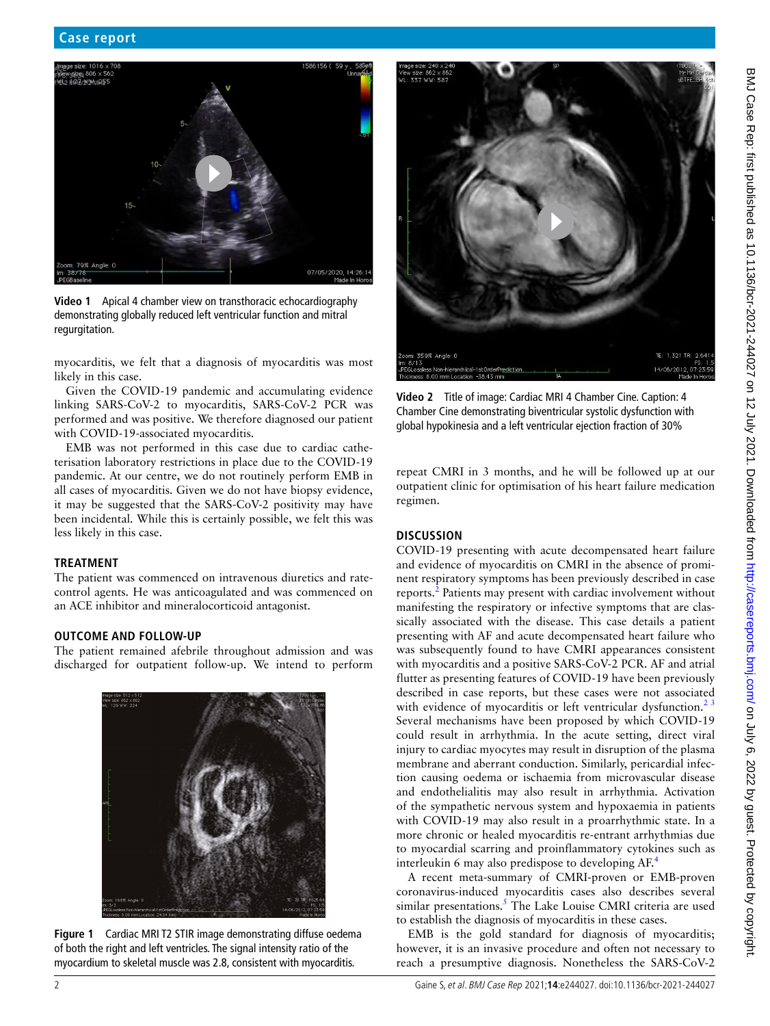

**Video 1** Apical 4 chamber view on transthoracic echocardiography demonstrating globally reduced left ventricular function and mitral regurgitation.

<span id="page-1-0"></span>myocarditis, we felt that a diagnosis of myocarditis was most likely in this case.

Given the COVID-19 pandemic and accumulating evidence linking SARS-CoV-2 to myocarditis, SARS-CoV-2 PCR was performed and was positive. We therefore diagnosed our patient with COVID-19-associated myocarditis.

EMB was not performed in this case due to cardiac catheterisation laboratory restrictions in place due to the COVID-19 pandemic. At our centre, we do not routinely perform EMB in all cases of myocarditis. Given we do not have biopsy evidence, it may be suggested that the SARS-CoV-2 positivity may have been incidental. While this is certainly possible, we felt this was less likely in this case.

#### **TREATMENT**

The patient was commenced on intravenous diuretics and ratecontrol agents. He was anticoagulated and was commenced on an ACE inhibitor and mineralocorticoid antagonist.

#### **OUTCOME AND FOLLOW-UP**

The patient remained afebrile throughout admission and was discharged for outpatient follow-up. We intend to perform

<span id="page-1-1"></span>

**Figure 1** Cardiac MRI T2 STIR image demonstrating diffuse oedema of both the right and left ventricles. The signal intensity ratio of the myocardium to skeletal muscle was 2.8, consistent with myocarditis.



**Video 2** Title of image: Cardiac MRI 4 Chamber Cine. Caption: 4 Chamber Cine demonstrating biventricular systolic dysfunction with global hypokinesia and a left ventricular ejection fraction of 30%

<span id="page-1-2"></span>repeat CMRI in 3 months, and he will be followed up at our outpatient clinic for optimisation of his heart failure medication regimen.

#### **DISCUSSION**

COVID-19 presenting with acute decompensated heart failure and evidence of myocarditis on CMRI in the absence of prominent respiratory symptoms has been previously described in case reports.<sup>[2](#page-2-1)</sup> Patients may present with cardiac involvement without manifesting the respiratory or infective symptoms that are classically associated with the disease. This case details a patient presenting with AF and acute decompensated heart failure who was subsequently found to have CMRI appearances consistent with myocarditis and a positive SARS-CoV-2 PCR. AF and atrial flutter as presenting features of COVID-19 have been previously described in case reports, but these cases were not associated with evidence of myocarditis or left ventricular dysfunction.<sup>23</sup> Several mechanisms have been proposed by which COVID-19 could result in arrhythmia. In the acute setting, direct viral injury to cardiac myocytes may result in disruption of the plasma membrane and aberrant conduction. Similarly, pericardial infection causing oedema or ischaemia from microvascular disease and endothelialitis may also result in arrhythmia. Activation of the sympathetic nervous system and hypoxaemia in patients with COVID-19 may also result in a proarrhythmic state. In a more chronic or healed myocarditis re-entrant arrhythmias due to myocardial scarring and proinflammatory cytokines such as interleukin 6 may also predispose to developing AF.[4](#page-2-2)

A recent meta-summary of CMRI-proven or EMB-proven coronavirus-induced myocarditis cases also describes several similar presentations.<sup>[5](#page-2-3)</sup> The Lake Louise CMRI criteria are used to establish the diagnosis of myocarditis in these cases.

EMB is the gold standard for diagnosis of myocarditis; however, it is an invasive procedure and often not necessary to reach a presumptive diagnosis. Nonetheless the SARS-CoV-2